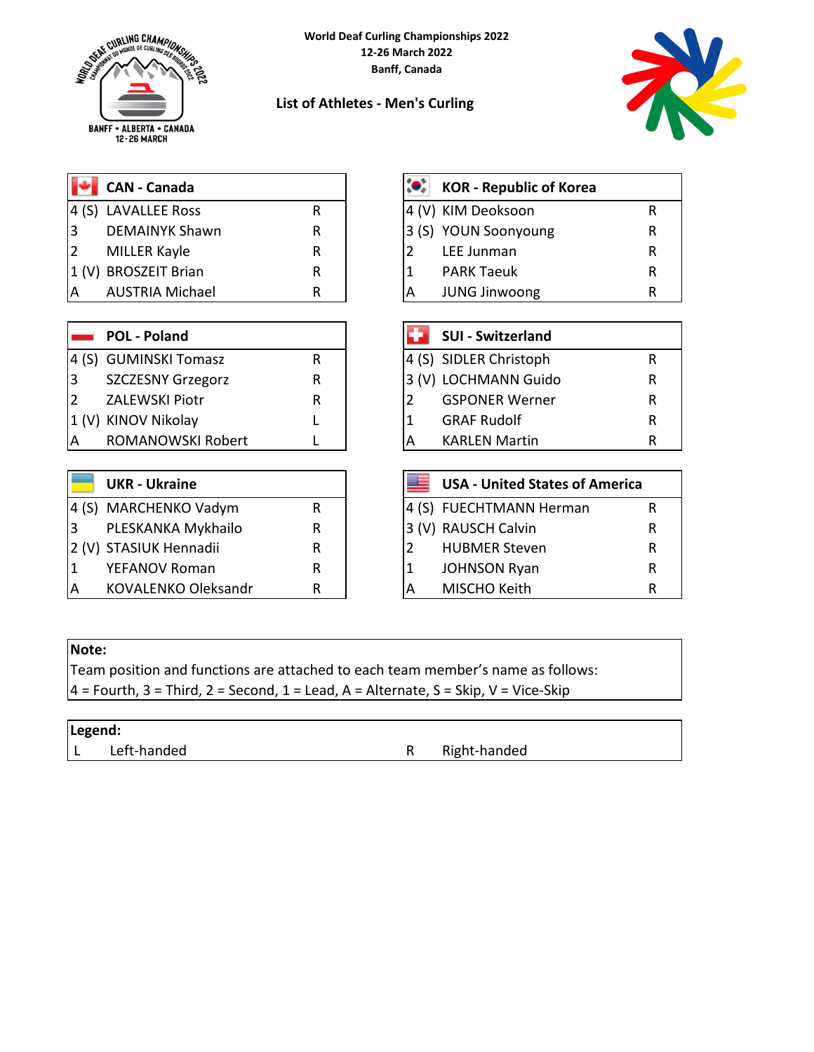

**List of Athletes - Men's Curling**



|    | <b>CAN</b> - Canada          |  |
|----|------------------------------|--|
|    | 4 (S) LAVALLEE Ross          |  |
| Ι3 | DEMAINYK Shawn               |  |
|    | 2 MILLER Kayle               |  |
|    | $(1/\lambda)$ DDOC7EIT Drian |  |

### **POL - Poland**

- 4 (S) GUMINSKI Tomasz R
- 3 SZCZESNY Grzegorz R
- 2 ZALEWSKI Piotr R
- 1 (V) KINOV Nikolay L
- A ROMANOWSKI Robert L

# **UKR - Ukraine**

|   | 4 (S) MARCHENKO Vadym      |   |  | 4 (S) FUECHTMANN Herman | R |
|---|----------------------------|---|--|-------------------------|---|
| 3 | PLESKANKA Mykhailo         | R |  | 3 (V) RAUSCH Calvin     | R |
|   | 2 (V) STASIUK Hennadii     | R |  | <b>HUBMER Steven</b>    | R |
|   | <b>YEFANOV Roman</b>       | R |  | <b>JOHNSON Ryan</b>     | R |
| A | <b>KOVALENKO Oleksandr</b> |   |  | MISCHO Keith            | R |

## **CAN - Canada KOR - Republic of Korea** R | 4 (V) KIM Deoksoon R R 3 (S) YOUN Soonyoung R R 2 LEE Junman R 1 (V) BROSZEIT Brian R R R | 1 PARK Taeuk R AUSTRIA Michael **R** R | A JUNG Jinwoong R R

|                | <b>SUI - Switzerland</b> |   |
|----------------|--------------------------|---|
|                | 4 (S) SIDLER Christoph   | R |
|                | 3 (V) LOCHMANN Guido     | R |
| 12             | <b>GSPONER Werner</b>    | R |
| $\overline{1}$ | <b>GRAF Rudolf</b>       | R |
| A              | <b>KARLEN Martin</b>     | R |

|   | <b>UKR - Ukraine</b>       |   |   | <b>USA - United States of America</b> |   |
|---|----------------------------|---|---|---------------------------------------|---|
|   | 4 (S) MARCHENKO Vadym      |   |   | 4 (S) FUECHTMANN Herman               | R |
| 3 | PLESKANKA Mykhailo         | R |   | 3 (V) RAUSCH Calvin                   |   |
|   | 2 (V) STASIUK Hennadii     | R |   | <b>HUBMER Steven</b>                  |   |
| 1 | YEFANOV Roman              | R |   | <b>JOHNSON Ryan</b>                   |   |
| А | <b>KOVALENKO Oleksandr</b> | R | А | MISCHO Keith                          |   |

#### **Note:**

Team position and functions are attached to each team member's name as follows:  $4$  = Fourth, 3 = Third, 2 = Second, 1 = Lead, A = Alternate, S = Skip, V = Vice-Skip

| Legend: |             |              |
|---------|-------------|--------------|
|         | Left-handed | Right-handed |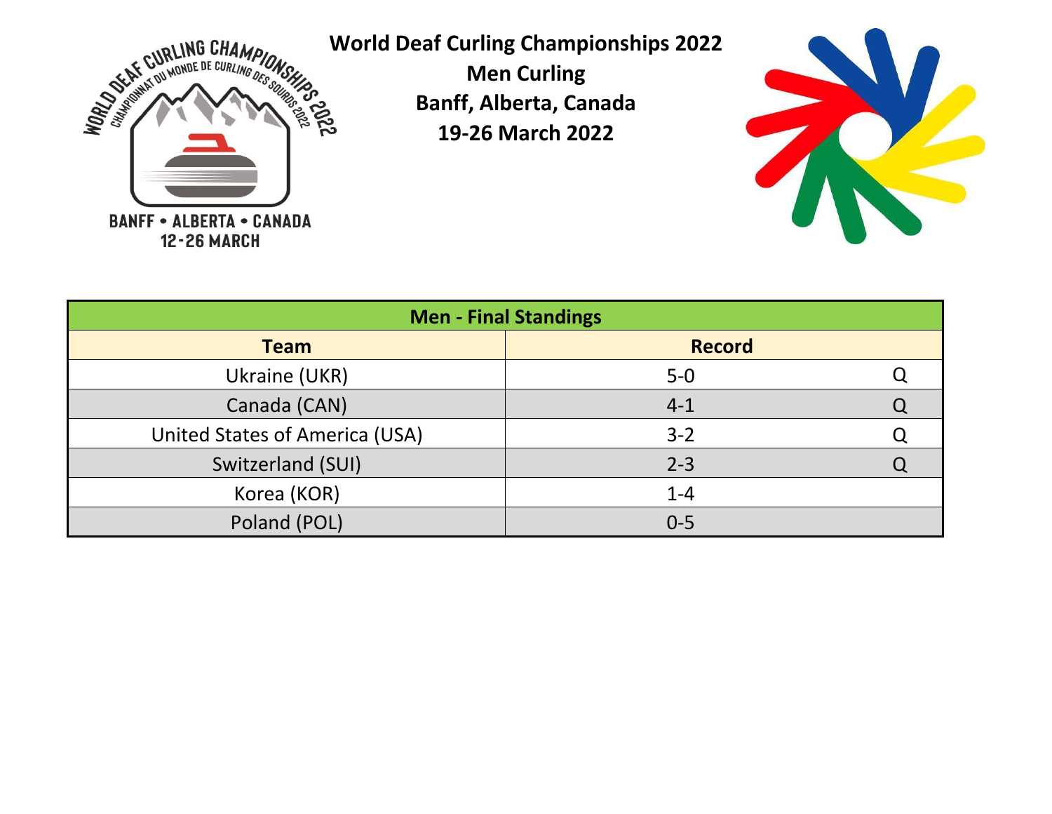

**World Deaf Curling Championships 2022**

**Men Curling Banff, Alberta, Canada 19-26 March 2022**



Q Q Q Q Poland (POL) **0-5** Korea (KOR)  $1-4$ Canada (CAN) **4-1** United States of America (USA)  $\vert$  3-2 Switzerland (SUI) 2-3 **Men - Final Standings Team Record** Ukraine (UKR) 5-0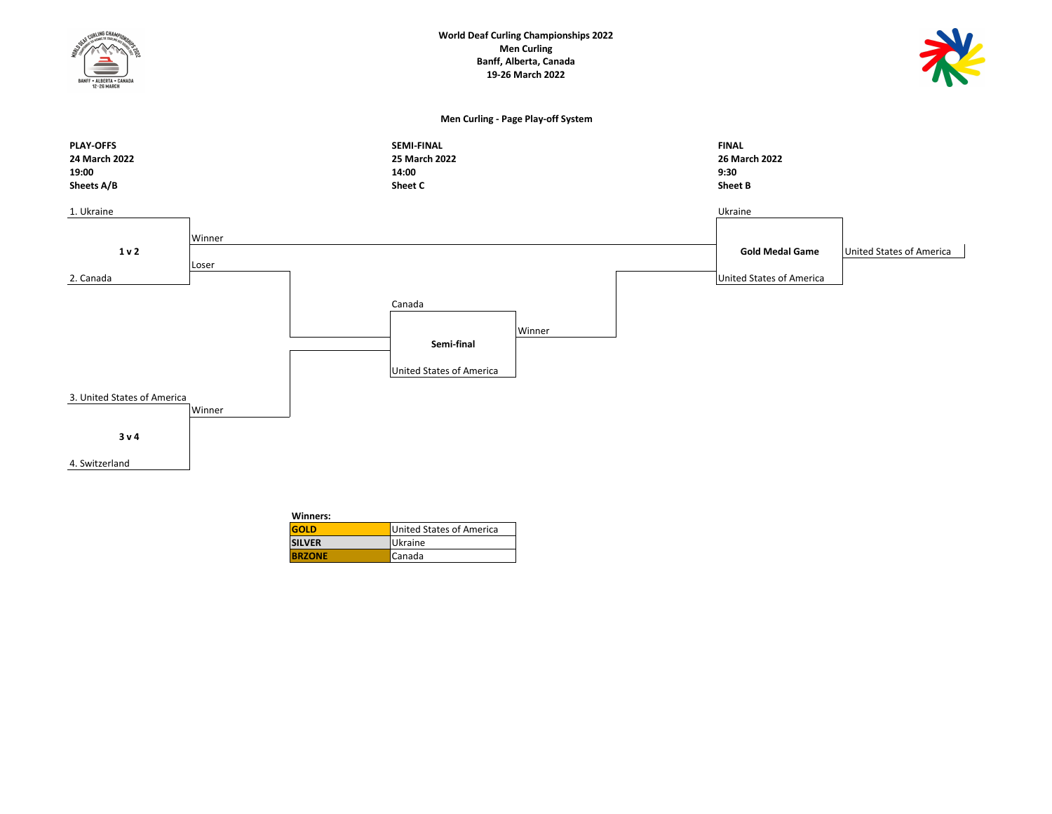

| Winners:      |                          |
|---------------|--------------------------|
| GOLD          | United States of America |
| <b>SILVER</b> | <b>Ukraine</b>           |
| <b>BRZONE</b> | Canada                   |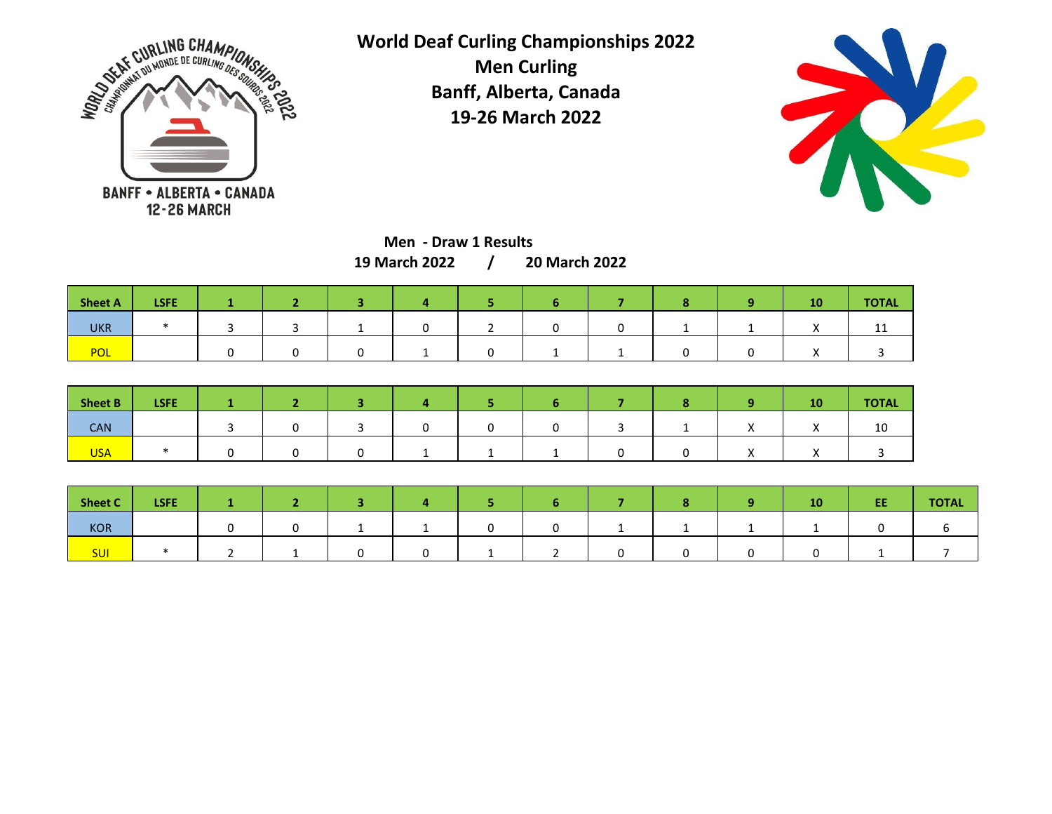



**Men - Draw 1 Results**

**/ 19 March 2022 20 March 2022**

| Sheet A    | <b>LSFE</b> |  |  |  |  | πn | <b>TOTAL</b> |
|------------|-------------|--|--|--|--|----|--------------|
| <b>UKR</b> |             |  |  |  |  |    | ᆠᆂ           |
| POL        |             |  |  |  |  |    |              |

| <b>Sheet B</b> | <b>LSFE</b> |  |  |  |  |          | 10 | <b>TOTAL</b> |
|----------------|-------------|--|--|--|--|----------|----|--------------|
| CAN            |             |  |  |  |  |          |    | 10           |
| <b>USA</b>     |             |  |  |  |  | $\cdots$ |    |              |

| Sheet C    | <b>LSFE</b> |  |  |  |  | 10 | EE | <b>TOTAL</b> |
|------------|-------------|--|--|--|--|----|----|--------------|
| <b>KOR</b> |             |  |  |  |  |    |    |              |
| <b>SUI</b> |             |  |  |  |  |    |    |              |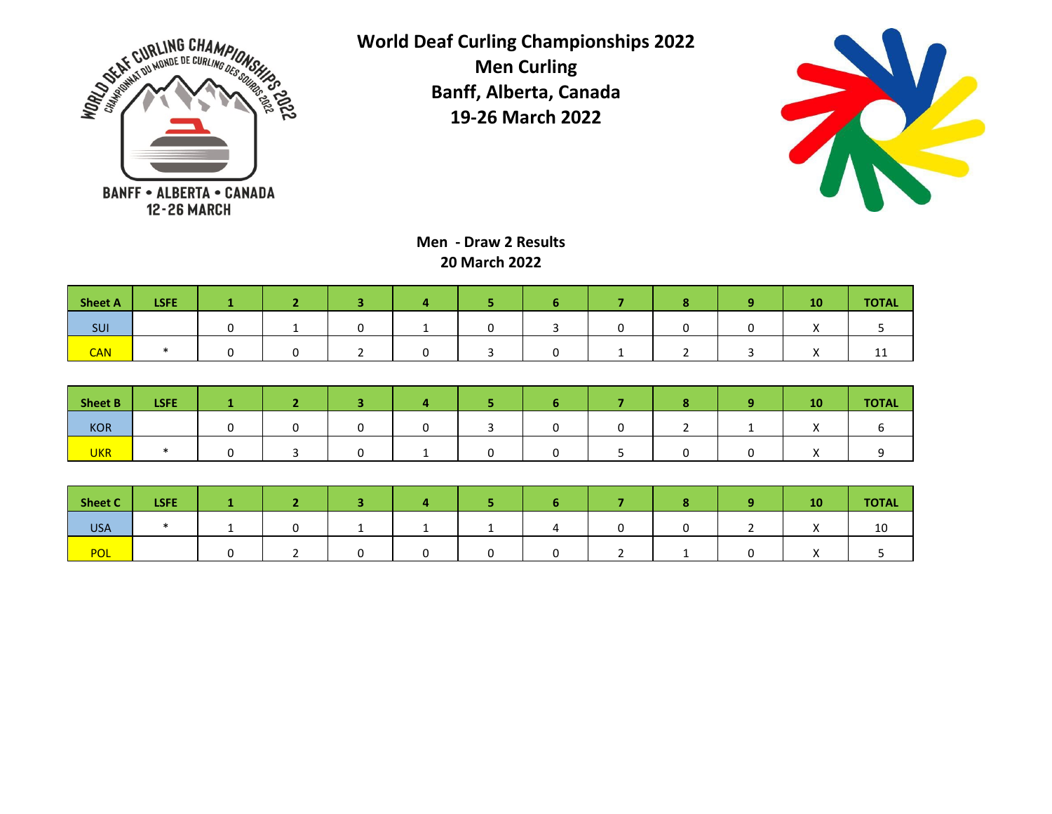



**Men - Draw 2 Results 20 March 2022**

| <b>Sheet A</b> | <b>LSFE</b> |  |  |  |  | 10 | <b>TOTAL</b> |
|----------------|-------------|--|--|--|--|----|--------------|
| <b>SUI</b>     |             |  |  |  |  |    |              |
| <b>CAN</b>     |             |  |  |  |  |    | <b>. .</b>   |

| <b>Sheet B</b> | <b>LSFE</b> |  |  |  |  | 10 | <b>TOTAL</b> |
|----------------|-------------|--|--|--|--|----|--------------|
| KOR            |             |  |  |  |  |    |              |
| <b>UKR</b>     |             |  |  |  |  |    |              |

| <b>Sheet C</b> | <b>LSFE</b> |  |  |  |  | 10 <sub>l</sub> | <b>TOTAL</b> |
|----------------|-------------|--|--|--|--|-----------------|--------------|
| <b>USA</b>     |             |  |  |  |  |                 | τU           |
| <b>POL</b>     |             |  |  |  |  |                 |              |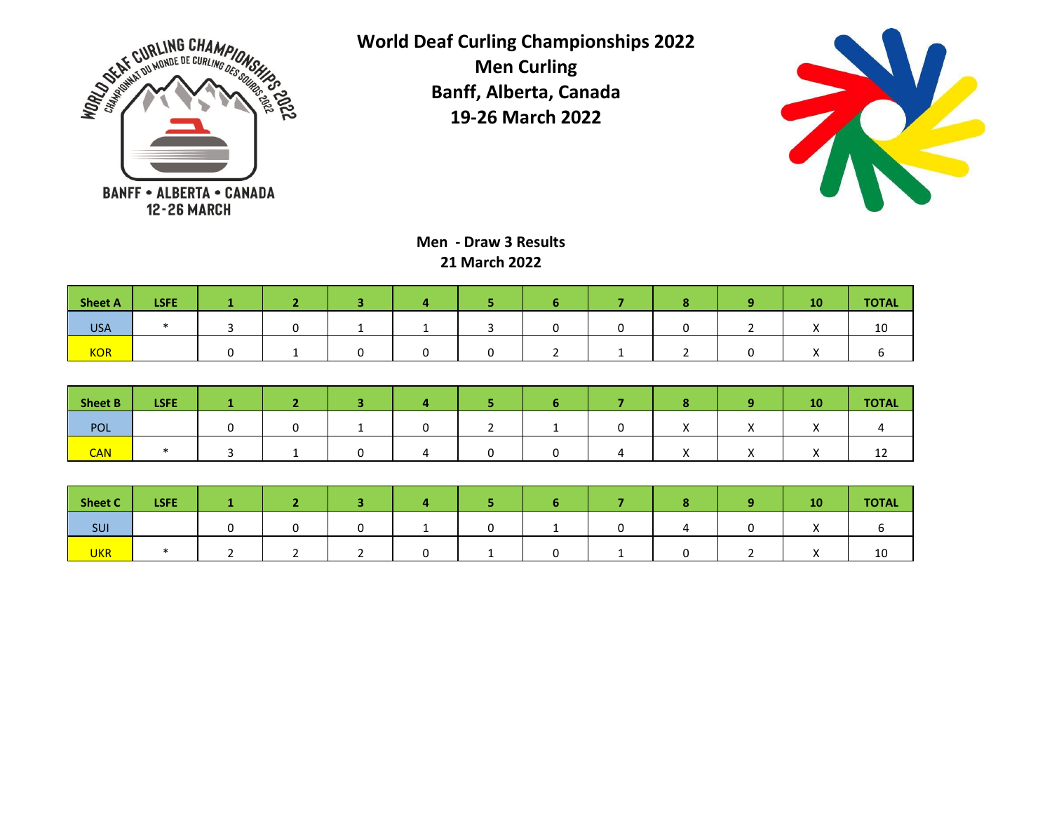



**Men - Draw 3 Results 21 March 2022**

| Sheet A    | <b>LSFE</b> |  |  |  |  | 10 <sub>l</sub> | <b>TOTAL</b> |
|------------|-------------|--|--|--|--|-----------------|--------------|
| <b>USA</b> |             |  |  |  |  | $\cdots$        | 10           |
| <b>KOR</b> |             |  |  |  |  | $\lambda$       |              |

| Sheet B    | <b>LSFE</b> |  |  |  |  | 10 | <b>TOTAL</b> |
|------------|-------------|--|--|--|--|----|--------------|
| POL        |             |  |  |  |  |    |              |
| <b>CAN</b> |             |  |  |  |  |    | ᆠ            |

| <b>Sheet C</b> | <b>LSFE</b> |  |  |  |  | 10 <sub>l</sub> | <b>TOTAL</b> |
|----------------|-------------|--|--|--|--|-----------------|--------------|
| SUI            |             |  |  |  |  |                 |              |
| <b>UKR</b>     |             |  |  |  |  |                 | TO.          |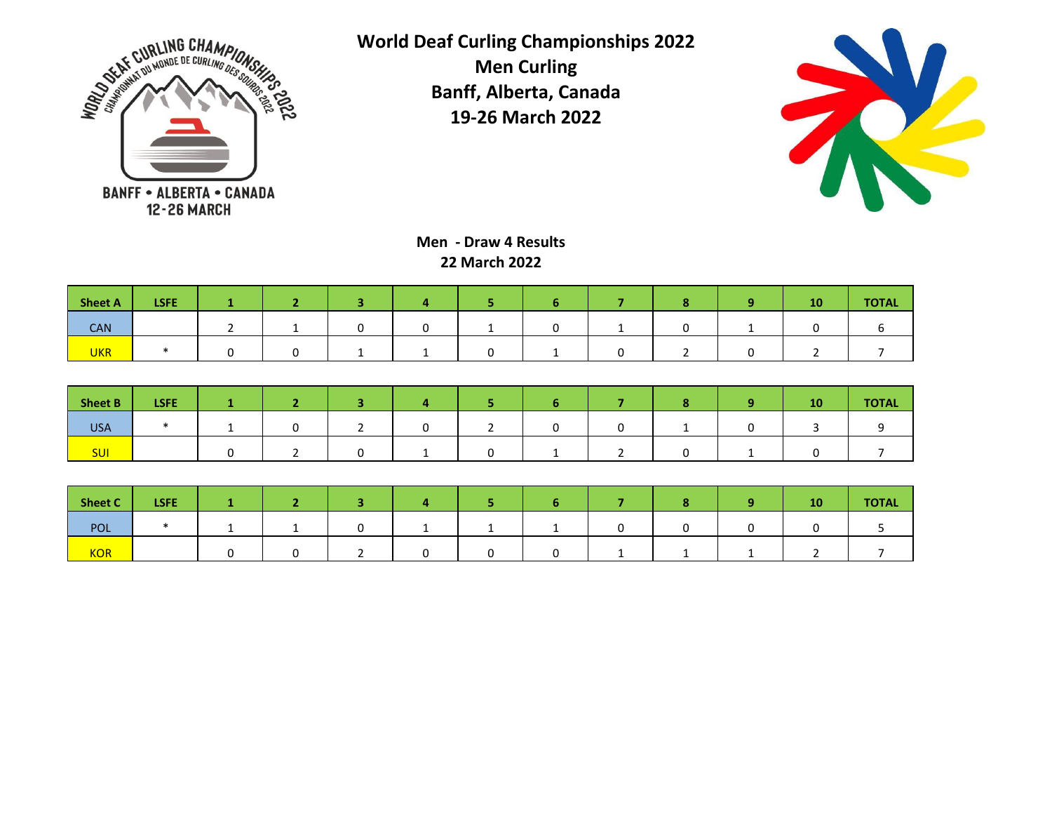



**Men - Draw 4 Results 22 March 2022**

| Sheet A    | <b>LSFE</b> |  |  |  |  | <b>10</b> | <b>TOTAL</b> |
|------------|-------------|--|--|--|--|-----------|--------------|
| <b>CAN</b> |             |  |  |  |  |           |              |
| <b>UKR</b> |             |  |  |  |  |           |              |

| <b>Sheet B</b> | <b>LSFE</b> |  |  |  |  | 10 | <b>TOTAL</b> |
|----------------|-------------|--|--|--|--|----|--------------|
| <b>USA</b>     |             |  |  |  |  |    |              |
| <b>SUI</b>     |             |  |  |  |  |    |              |

| <b>Sheet C</b> | <b>LSFE</b> |  |  |  |  | 10 | <b>TOTAL</b> |
|----------------|-------------|--|--|--|--|----|--------------|
| POL            |             |  |  |  |  |    |              |
| <b>KOR</b>     |             |  |  |  |  |    |              |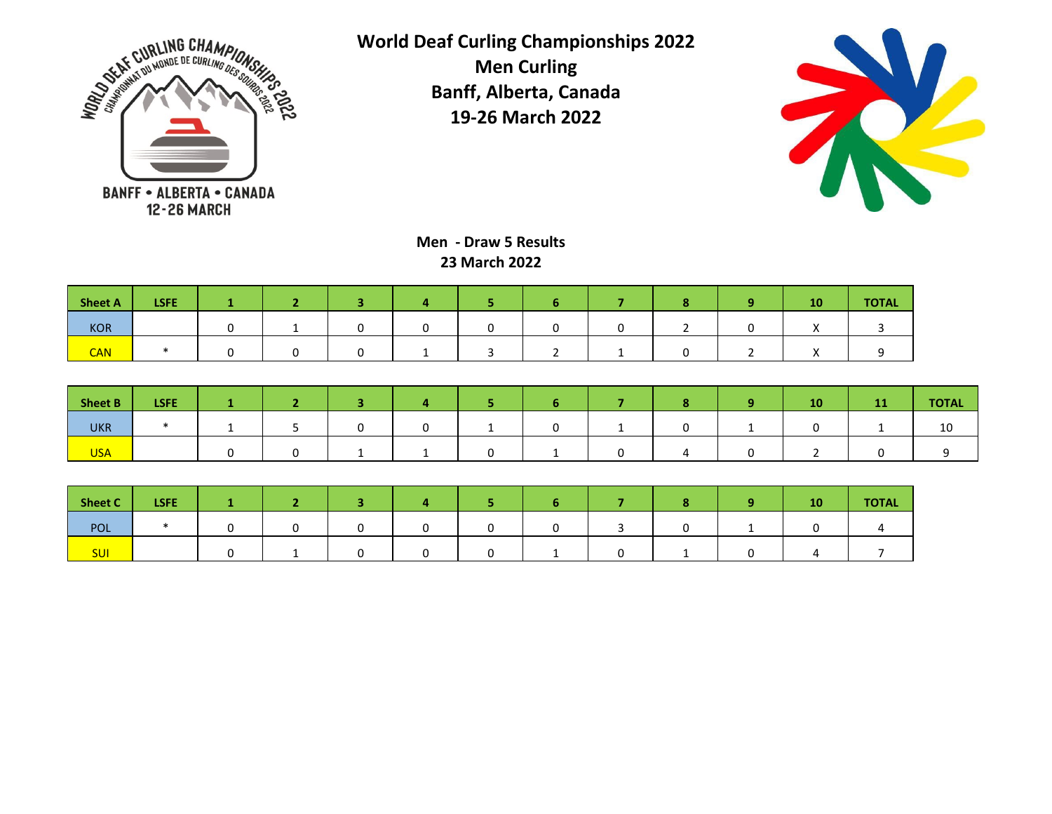



**Men - Draw 5 Results 23 March 2022**

| Sheet A    | <b>LSFE</b> |  |  |  |  | 10 | <b>TOTAL</b> |
|------------|-------------|--|--|--|--|----|--------------|
| <b>KOR</b> |             |  |  |  |  |    |              |
| <b>CAN</b> |             |  |  |  |  |    |              |

| Sheet B    | <b>LSFE</b> |  |  |  |  | 10 | <b>TOTAL</b> |
|------------|-------------|--|--|--|--|----|--------------|
| <b>UKR</b> |             |  |  |  |  |    | τn           |
| <b>USA</b> |             |  |  |  |  |    |              |

| Sheet C    | <b>LSFE</b> |  |  |  |  | 10/ | <b>TOTAL</b> |
|------------|-------------|--|--|--|--|-----|--------------|
| POL        |             |  |  |  |  |     |              |
| <b>SUI</b> |             |  |  |  |  |     |              |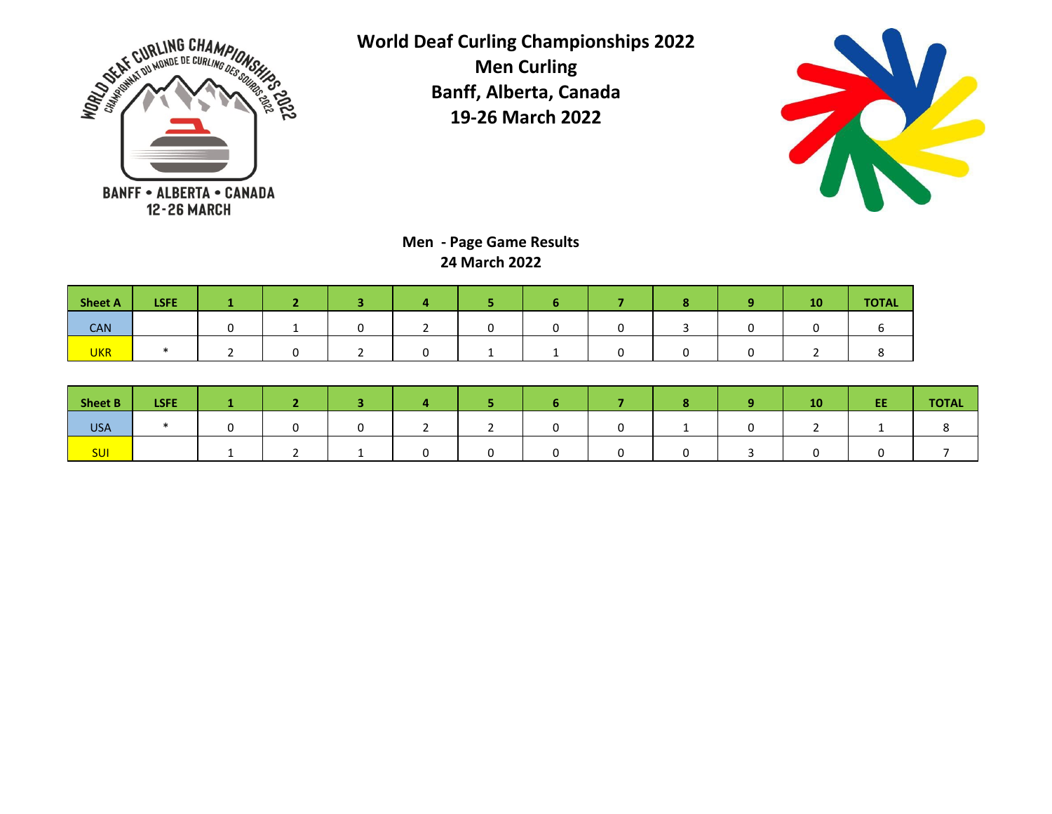



**Men - Page Game Results 24 March 2022**

| <b>Sheet A</b> | <b>LSFE</b> |  |  |  |  | $\sim$ $\sim$<br>πu | <b>TOTAL</b> |
|----------------|-------------|--|--|--|--|---------------------|--------------|
| <b>CAN</b>     |             |  |  |  |  |                     |              |
| <b>UKR</b>     |             |  |  |  |  |                     |              |

| Sheet B    | <b>LSFE</b> |  |  |  |  | 10 | EE | <b>TOTAL</b> |
|------------|-------------|--|--|--|--|----|----|--------------|
| <b>USA</b> |             |  |  |  |  |    |    |              |
| <b>SUI</b> |             |  |  |  |  |    |    |              |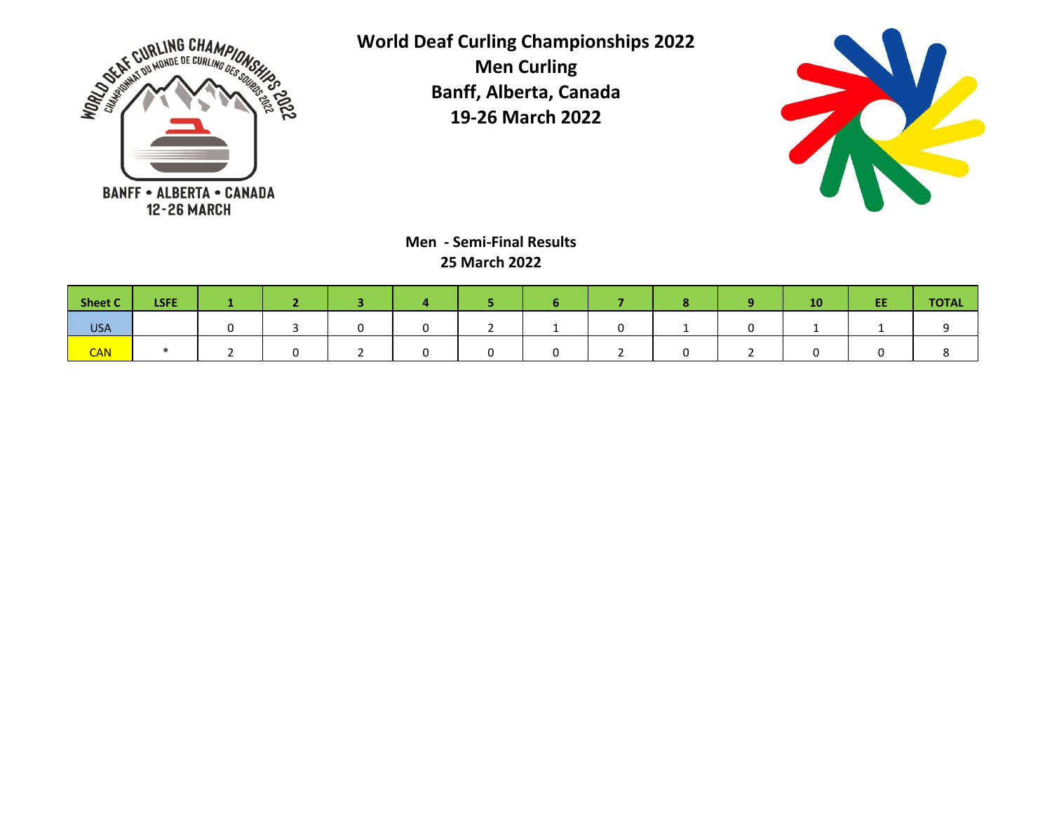



**Men - Semi-Final Results 25 March 2022**

| Sheet C    | LSFE. |  |  |  |  | <b>10</b> | EE | <b>TOTAL</b> |
|------------|-------|--|--|--|--|-----------|----|--------------|
| <b>USA</b> |       |  |  |  |  |           |    |              |
| <b>CAN</b> |       |  |  |  |  |           |    |              |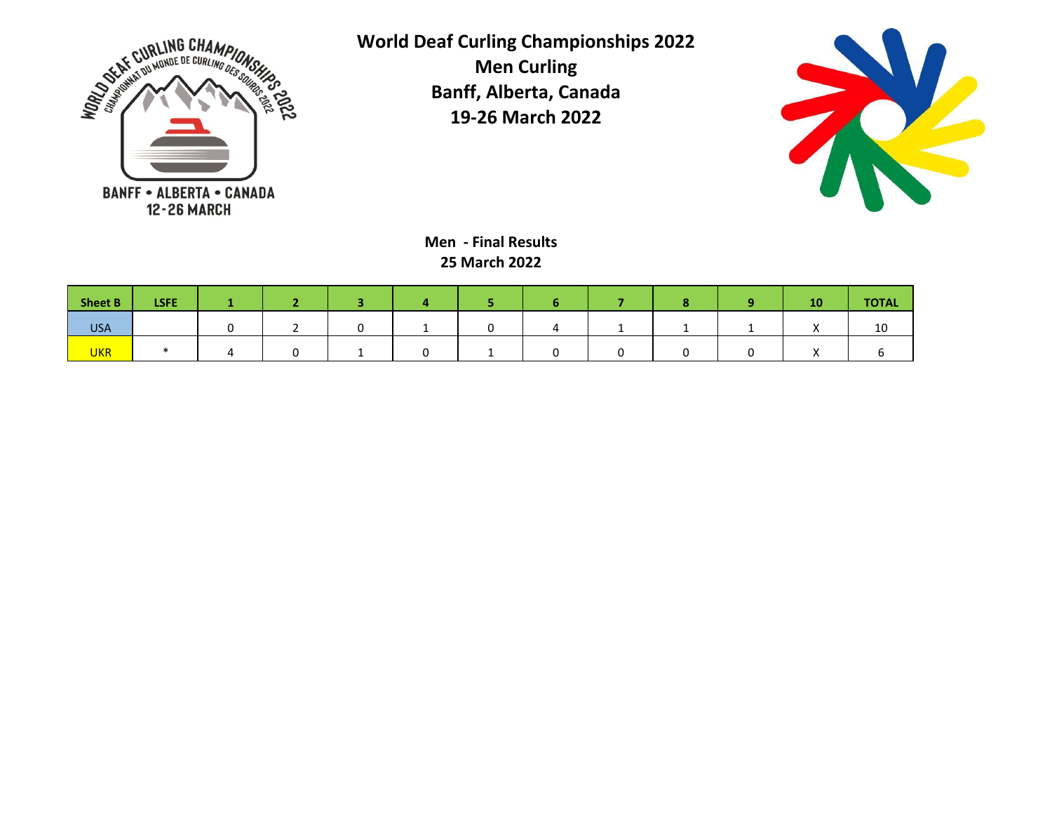



**Men - Final Results 25 March 2022**

| Sheet B    | <b>LSFE</b> |  |  |  |  | 10 <sub>l</sub> | <b>TOTAL</b> |
|------------|-------------|--|--|--|--|-----------------|--------------|
| <b>USA</b> |             |  |  |  |  |                 | 10           |
| <b>UKR</b> |             |  |  |  |  |                 |              |